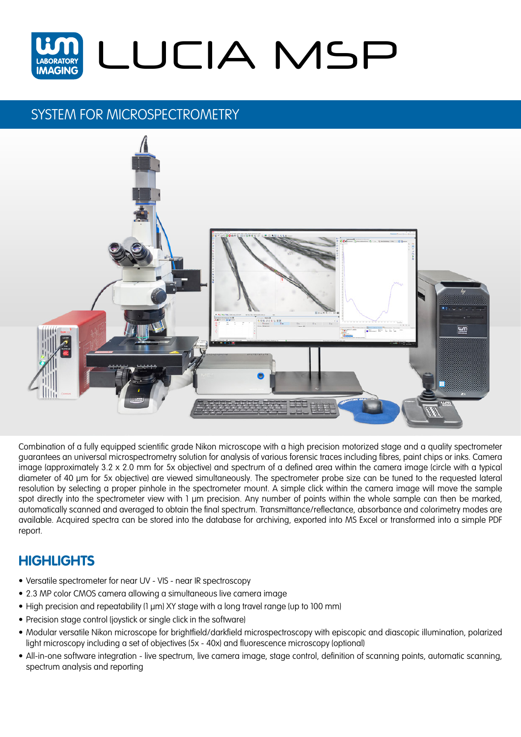

## SYSTEM FOR MICROSPECTROMETRY



Combination of a fully equipped scientific grade Nikon microscope with a high precision motorized stage and a quality spectrometer guarantees an universal microspectrometry solution for analysis of various forensic traces including fibres, paint chips or inks. Camera image (approximately 3.2 x 2.0 mm for 5x objective) and spectrum of a defined area within the camera image (circle with a typical diameter of 40 µm for 5x objective) are viewed simultaneously. The spectrometer probe size can be tuned to the requested lateral resolution by selecting a proper pinhole in the spectrometer mount. A simple click within the camera image will move the sample spot directly into the spectrometer view with 1 µm precision. Any number of points within the whole sample can then be marked, automatically scanned and averaged to obtain the final spectrum. Transmittance/reflectance, absorbance and colorimetry modes are available. Acquired spectra can be stored into the database for archiving, exported into MS Excel or transformed into a simple PDF report.

## **HIGHLIGHTS**

- Versatile spectrometer for near UV VIS near IR spectroscopy
- 2.3 MP color CMOS camera allowing a simultaneous live camera image
- High precision and repeatability (1 µm) XY stage with a long travel range (up to 100 mm)
- Precision stage control (joystick or single click in the software)
- Modular versatile Nikon microscope for brightfield/darkfield microspectroscopy with episcopic and diascopic illumination, polarized light microscopy including a set of objectives (5x - 40x) and fluorescence microscopy (optional)
- All-in-one software integration live spectrum, live camera image, stage control, definition of scanning points, automatic scanning, spectrum analysis and reporting